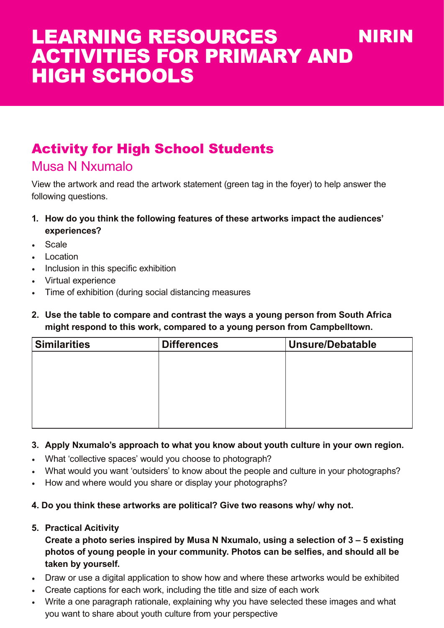# Activity for High School Students

### Musa N Nxumalo

View the artwork and read the artwork statement (green tag in the foyer) to help answer the following questions.

- **1. How do you think the following features of these artworks impact the audiences' experiences?**
- Scale
- Location
- Inclusion in this specific exhibition
- Virtual experience
- Time of exhibition (during social distancing measures
- **2. Use the table to compare and contrast the ways a young person from South Africa might respond to this work, compared to a young person from Campbelltown.**

| <b>Similarities</b> | <b>Differences</b> | <b>Unsure/Debatable</b> |
|---------------------|--------------------|-------------------------|
|                     |                    |                         |
|                     |                    |                         |
|                     |                    |                         |
|                     |                    |                         |
|                     |                    |                         |
|                     |                    |                         |

#### **3. Apply Nxumalo's approach to what you know about youth culture in your own region.**

- What 'collective spaces' would you choose to photograph?
- What would you want 'outsiders' to know about the people and culture in your photographs?
- How and where would you share or display your photographs?

#### **4. Do you think these artworks are political? Give two reasons why/ why not.**

#### **5. Practical Acitivity**

**Create a photo series inspired by Musa N Nxumalo, using a selection of 3 – 5 existing photos of young people in your community. Photos can be selfies, and should all be taken by yourself.**

- Draw or use a digital application to show how and where these artworks would be exhibited
- Create captions for each work, including the title and size of each work
- Write a one paragraph rationale, explaining why you have selected these images and what you want to share about youth culture from your perspective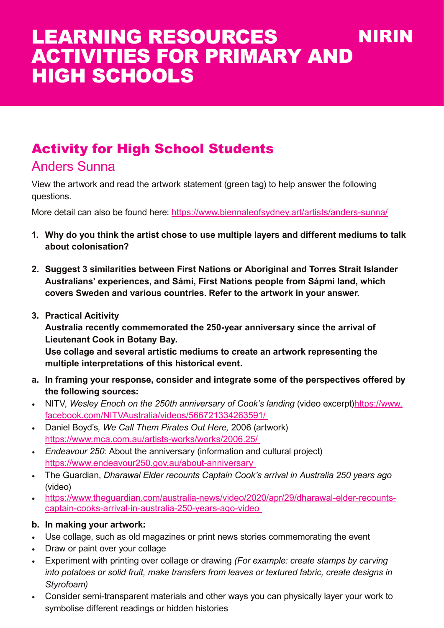# Activity for High School Students

### Anders Sunna

View the artwork and read the artwork statement (green tag) to help answer the following questions.

More detail can also be found here: https://www.biennaleofsydney.art/artists/anders-sunna/

- **1. Why do you think the artist chose to use multiple layers and different mediums to talk about colonisation?**
- **2. Suggest 3 similarities between First Nations or Aboriginal and Torres Strait Islander Australians' experiences, and Sámi, First Nations people from Sápmi land, which covers Sweden and various countries. Refer to the artwork in your answer.**
- **3. Practical Acitivity**

**Australia recently commemorated the 250-year anniversary since the arrival of Lieutenant Cook in Botany Bay.** 

**Use collage and several artistic mediums to create an artwork representing the multiple interpretations of this historical event.**

- **a. In framing your response, consider and integrate some of the perspectives offered by the following sources:**
- NITV, Wesley Enoch on the 250th anniversary of Cook's landing (video excerpt) https://www. facebook.com/NITVAustralia/videos/566721334263591/
- Daniel Boyd's*, We Call Them Pirates Out Here,* 2006 (artwork) https://www.mca.com.au/artists-works/works/2006.25/
- *• Endeavour 250:* About the anniversary (information and cultural project) https://www.endeavour250.gov.au/about-anniversary
- The Guardian, *Dharawal Elder recounts Captain Cook's arrival in Australia 250 years ago*  (video)
- https://www.theguardian.com/australia-news/video/2020/apr/29/dharawal-elder-recountscaptain-cooks-arrival-in-australia-250-years-ago-video

#### **b. In making your artwork:**

- Use collage, such as old magazines or print news stories commemorating the event
- Draw or paint over your collage
- Experiment with printing over collage or drawing *(For example: create stamps by carving into potatoes or solid fruit, make transfers from leaves or textured fabric, create designs in Styrofoam)*
- Consider semi-transparent materials and other ways you can physically layer your work to symbolise different readings or hidden histories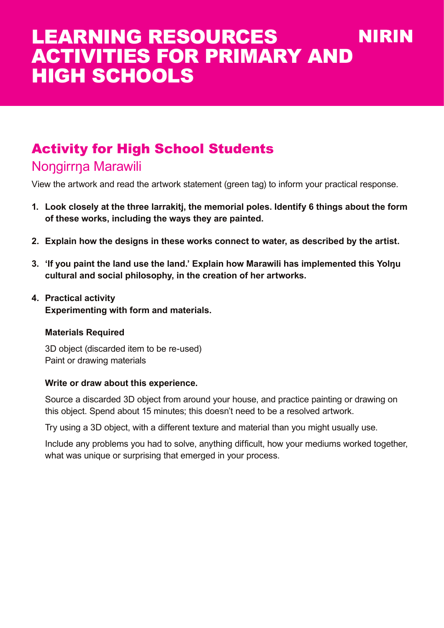# Activity for High School Students

## Nongirrna Marawili

View the artwork and read the artwork statement (green tag) to inform your practical response.

- **1. Look closely at the three larrakitj, the memorial poles. Identify 6 things about the form of these works, including the ways they are painted.**
- **2. Explain how the designs in these works connect to water, as described by the artist.**
- **3. 'If you paint the land use the land.' Explain how Marawili has implemented this Yolŋu cultural and social philosophy, in the creation of her artworks.**
- **4. Practical activity Experimenting with form and materials.**

#### **Materials Required**

3D object (discarded item to be re-used) Paint or drawing materials

#### **Write or draw about this experience.**

Source a discarded 3D object from around your house, and practice painting or drawing on this object. Spend about 15 minutes; this doesn't need to be a resolved artwork.

Try using a 3D object, with a different texture and material than you might usually use.

Include any problems you had to solve, anything difficult, how your mediums worked together, what was unique or surprising that emerged in your process.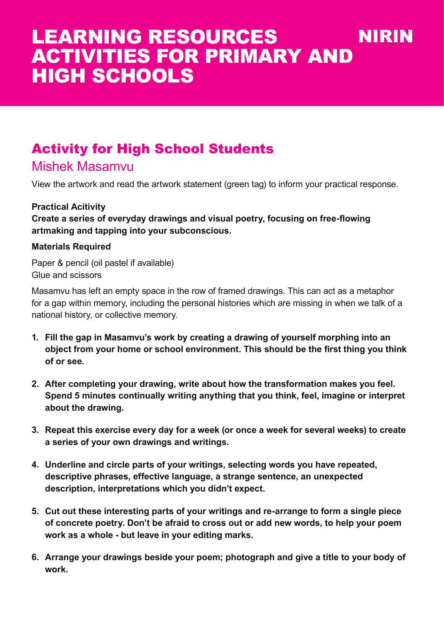# Activity for High School Students

### Mishek Masamvu

View the artwork and read the artwork statement (green tag) to inform your practical response.

#### **Practical Acitivity**

**Create a series of everyday drawings and visual poetry, focusing on free-flowing artmaking and tapping into your subconscious.**

#### **Materials Required**

Paper & pencil (oil pastel if available) Glue and scissors

Masamvu has left an empty space in the row of framed drawings. This can act as a metaphor for a gap within memory, including the personal histories which are missing in when we talk of a national history, or collective memory.

- **1. Fill the gap in Masamvu's work by creating a drawing of yourself morphing into an object from your home or school environment. This should be the first thing you think of or see.**
- **2. After completing your drawing, write about how the transformation makes you feel. Spend 5 minutes continually writing anything that you think, feel, imagine or interpret about the drawing.**
- **3. Repeat this exercise every day for a week (or once a week for several weeks) to create a series of your own drawings and writings.**
- **4. Underline and circle parts of your writings, selecting words you have repeated, descriptive phrases, effective language, a strange sentence, an unexpected description, interpretations which you didn't expect.**
- **5. Cut out these interesting parts of your writings and re-arrange to form a single piece of concrete poetry. Don't be afraid to cross out or add new words, to help your poem work as a whole - but leave in your editing marks.**
- **6. Arrange your drawings beside your poem; photograph and give a title to your body of work.**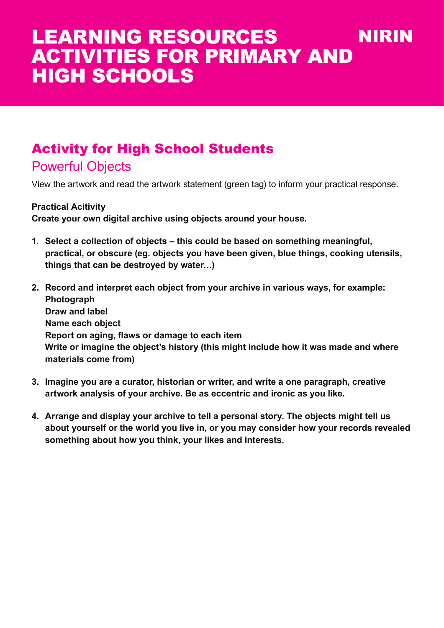# Activity for High School Students

# Powerful Objects

View the artwork and read the artwork statement (green tag) to inform your practical response.

#### **Practical Acitivity**

**Create your own digital archive using objects around your house.** 

- **1. Select a collection of objects this could be based on something meaningful, practical, or obscure (eg. objects you have been given, blue things, cooking utensils, things that can be destroyed by water…)**
- **2. Record and interpret each object from your archive in various ways, for example: Photograph Draw and label Name each object Report on aging, flaws or damage to each item Write or imagine the object's history (this might include how it was made and where materials come from)**
- **3. Imagine you are a curator, historian or writer, and write a one paragraph, creative artwork analysis of your archive. Be as eccentric and ironic as you like.**
- **4. Arrange and display your archive to tell a personal story. The objects might tell us about yourself or the world you live in, or you may consider how your records revealed something about how you think, your likes and interests.**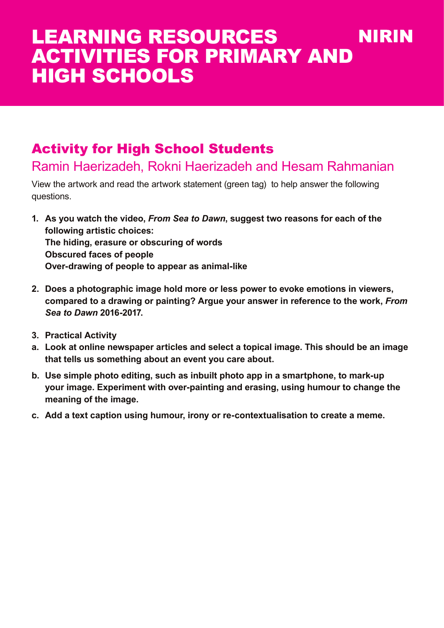# Activity for High School Students

## Ramin Haerizadeh, Rokni Haerizadeh and Hesam Rahmanian

View the artwork and read the artwork statement (green tag) to help answer the following questions.

- **1. As you watch the video,** *From Sea to Dawn***, suggest two reasons for each of the following artistic choices: The hiding, erasure or obscuring of words Obscured faces of people Over-drawing of people to appear as animal-like**
- **2. Does a photographic image hold more or less power to evoke emotions in viewers, compared to a drawing or painting? Argue your answer in reference to the work,** *From Sea to Dawn* **2016-2017.**
- **3. Practical Activity**
- **a. Look at online newspaper articles and select a topical image. This should be an image that tells us something about an event you care about.**
- **b. Use simple photo editing, such as inbuilt photo app in a smartphone, to mark-up your image. Experiment with over-painting and erasing, using humour to change the meaning of the image.**
- **c. Add a text caption using humour, irony or re-contextualisation to create a meme.**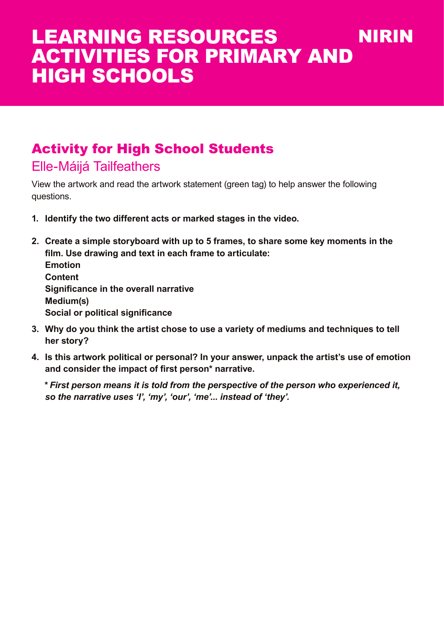# Activity for High School Students

Elle-Máijá Tailfeathers

View the artwork and read the artwork statement (green tag) to help answer the following questions.

- **1. Identify the two different acts or marked stages in the video.**
- **2. Create a simple storyboard with up to 5 frames, to share some key moments in the film. Use drawing and text in each frame to articulate: Emotion Content Significance in the overall narrative Medium(s) Social or political significance**
- **3. Why do you think the artist chose to use a variety of mediums and techniques to tell her story?**
- **4. Is this artwork political or personal? In your answer, unpack the artist's use of emotion and consider the impact of first person\* narrative.**

*\* First person means it is told from the perspective of the person who experienced it, so the narrative uses 'I', 'my', 'our', 'me'... instead of 'they'.*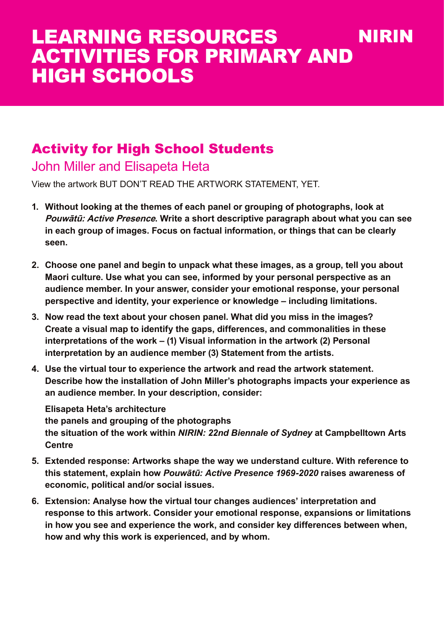# Activity for High School Students

## John Miller and Elisapeta Heta

View the artwork BUT DON'T READ THE ARTWORK STATEMENT, YET.

- **1. Without looking at the themes of each panel or grouping of photographs, look at Pouwātū: Active Presence. Write a short descriptive paragraph about what you can see in each group of images. Focus on factual information, or things that can be clearly seen.**
- **2. Choose one panel and begin to unpack what these images, as a group, tell you about Maori culture. Use what you can see, informed by your personal perspective as an audience member. In your answer, consider your emotional response, your personal perspective and identity, your experience or knowledge – including limitations.**
- **3. Now read the text about your chosen panel. What did you miss in the images? Create a visual map to identify the gaps, differences, and commonalities in these interpretations of the work – (1) Visual information in the artwork (2) Personal interpretation by an audience member (3) Statement from the artists.**
- **4. Use the virtual tour to experience the artwork and read the artwork statement. Describe how the installation of John Miller's photographs impacts your experience as an audience member. In your description, consider:**

**Elisapeta Heta's architecture the panels and grouping of the photographs the situation of the work within** *NIRIN: 22nd Biennale of Sydney* **at Campbelltown Arts Centre**

- **5. Extended response: Artworks shape the way we understand culture. With reference to this statement, explain how** *Pouwātū: Active Presence 1969-2020* **raises awareness of economic, political and/or social issues.**
- **6. Extension: Analyse how the virtual tour changes audiences' interpretation and response to this artwork. Consider your emotional response, expansions or limitations in how you see and experience the work, and consider key differences between when, how and why this work is experienced, and by whom.**